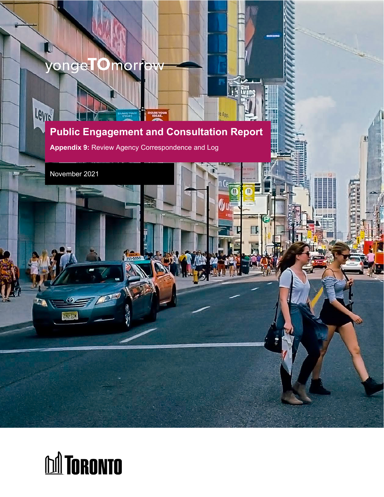## yongel Œ mor

## Levie **Public Engagement and Consultation Report**

**Appendix 9:** Review Agency Correspondence and Log

November 2021

ZAUCEN

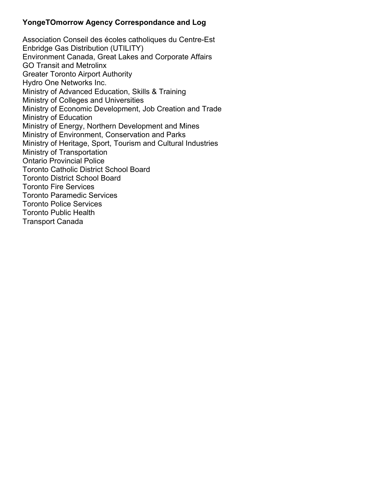## **YongeTOmorrow Agency Correspondance and Log**

Association Conseil des écoles catholiques du Centre-Est Enbridge Gas Distribution (UTILITY) Environment Canada, Great Lakes and Corporate Affairs GO Transit and Metrolinx Greater Toronto Airport Authority Hydro One Networks Inc. Ministry of Advanced Education, Skills & Training Ministry of Colleges and Universities Ministry of Economic Development, Job Creation and Trade Ministry of Education Ministry of Energy, Northern Development and Mines Ministry of Environment, Conservation and Parks Ministry of Heritage, Sport, Tourism and Cultural Industries Ministry of Transportation Ontario Provincial Police Toronto Catholic District School Board Toronto District School Board Toronto Fire Services Toronto Paramedic Services Toronto Police Services Toronto Public Health Transport Canada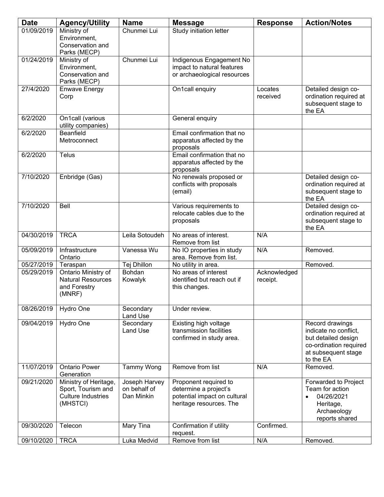| <b>Date</b> | <b>Agency/Utility</b>                                                         | <b>Name</b>                                 | <b>Message</b>                                                                                            | <b>Response</b>          | <b>Action/Notes</b>                                                                                                           |
|-------------|-------------------------------------------------------------------------------|---------------------------------------------|-----------------------------------------------------------------------------------------------------------|--------------------------|-------------------------------------------------------------------------------------------------------------------------------|
| 01/09/2019  | Ministry of<br>Environment,<br>Conservation and<br>Parks (MECP)               | Chunmei Lui                                 | Study initiation letter                                                                                   |                          |                                                                                                                               |
| 01/24/2019  | Ministry of<br>Environment,<br>Conservation and<br>Parks (MECP)               | Chunmei Lui                                 | Indigenous Engagement No<br>impact to natural features<br>or archaeological resources                     |                          |                                                                                                                               |
| 27/4/2020   | <b>Enwave Energy</b><br>Corp                                                  |                                             | On1call enquiry                                                                                           | Locates<br>received      | Detailed design co-<br>ordination required at<br>subsequent stage to<br>the EA                                                |
| 6/2/2020    | On1call (various<br>utility companies)                                        |                                             | General enquiry                                                                                           |                          |                                                                                                                               |
| 6/2/2020    | Beanfield<br>Metroconnect                                                     |                                             | Email confirmation that no<br>apparatus affected by the<br>proposals                                      |                          |                                                                                                                               |
| 6/2/2020    | Telus                                                                         |                                             | Email confirmation that no<br>apparatus affected by the<br>proposals                                      |                          |                                                                                                                               |
| 7/10/2020   | Enbridge (Gas)                                                                |                                             | No renewals proposed or<br>conflicts with proposals<br>(email)                                            |                          | Detailed design co-<br>ordination required at<br>subsequent stage to<br>the EA                                                |
| 7/10/2020   | Bell                                                                          |                                             | Various requirements to<br>relocate cables due to the<br>proposals                                        |                          | Detailed design co-<br>ordination required at<br>subsequent stage to<br>the EA                                                |
| 04/30/2019  | <b>TRCA</b>                                                                   | Leila Sotoudeh                              | No areas of interest.<br>Remove from list                                                                 | N/A                      |                                                                                                                               |
| 05/09/2019  | Infrastructure<br>Ontario                                                     | Vanessa Wu                                  | No IO properties in study<br>area. Remove from list.                                                      | N/A                      | Removed.                                                                                                                      |
| 05/27/2019  | Teraspan                                                                      | Tej Dhillon                                 | No utility in area.                                                                                       |                          | Removed.                                                                                                                      |
| 05/29/2019  | Ontario Ministry of<br><b>Natural Resources</b><br>and Forestry<br>(MNRF)     | <b>Bohdan</b><br>Kowalyk                    | No areas of interest<br>identified but reach out if<br>this changes.                                      | Acknowledged<br>receipt. |                                                                                                                               |
| 08/26/2019  | Hydro One                                                                     | Secondary<br>Land Use                       | Under review.                                                                                             |                          |                                                                                                                               |
| 09/04/2019  | Hydro One                                                                     | Secondary<br>Land Use                       | Existing high voltage<br>transmission facilities<br>confirmed in study area.                              |                          | Record drawings<br>indicate no conflict,<br>but detailed design<br>co-ordination required<br>at subsequent stage<br>to the EA |
| 11/07/2019  | <b>Ontario Power</b><br>Generation                                            | <b>Tammy Wong</b>                           | Remove from list                                                                                          | N/A                      | Removed.                                                                                                                      |
| 09/21/2020  | Ministry of Heritage,<br>Sport, Tourism and<br>Culture Industries<br>(MHSTCI) | Joseph Harvey<br>on behalf of<br>Dan Minkin | Proponent required to<br>determine a project's<br>potential impact on cultural<br>heritage resources. The |                          | Forwarded to Project<br>Team for action<br>04/26/2021<br>Heritage,<br>Archaeology<br>reports shared                           |
| 09/30/2020  | Telecon                                                                       | Mary Tina                                   | Confirmation if utility<br>request.                                                                       | Confirmed.               |                                                                                                                               |
| 09/10/2020  | <b>TRCA</b>                                                                   | Luka Medvid                                 | Remove from list                                                                                          | N/A                      | Removed.                                                                                                                      |